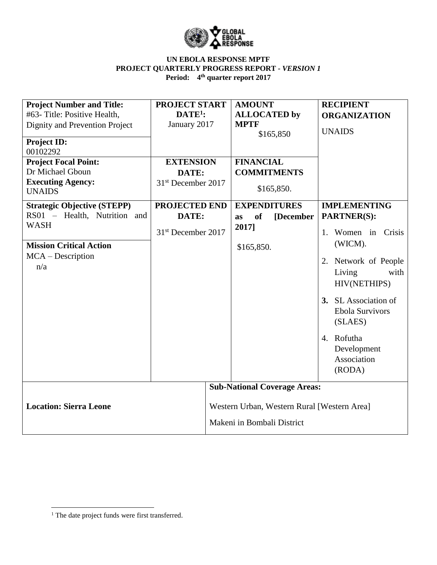

## **UN EBOLA RESPONSE MPTF PROJECT QUARTERLY PROGRESS REPORT** *- VERSION 1* **Period: 4 th quarter report 2017**

| <b>Project Number and Title:</b>   | <b>PROJECT START</b>           |                                             | <b>AMOUNT</b>                       |           | <b>RECIPIENT</b>       |  |  |
|------------------------------------|--------------------------------|---------------------------------------------|-------------------------------------|-----------|------------------------|--|--|
| #63- Title: Positive Health,       | $DATE1$ :                      |                                             | <b>ALLOCATED</b> by                 |           | <b>ORGANIZATION</b>    |  |  |
| Dignity and Prevention Project     | January 2017                   |                                             | <b>MPTF</b>                         |           |                        |  |  |
|                                    |                                |                                             |                                     | \$165,850 | <b>UNAIDS</b>          |  |  |
| <b>Project ID:</b>                 |                                |                                             |                                     |           |                        |  |  |
| 00102292                           |                                |                                             |                                     |           |                        |  |  |
| <b>Project Focal Point:</b>        | <b>EXTENSION</b>               |                                             | <b>FINANCIAL</b>                    |           |                        |  |  |
| Dr Michael Gboun                   | DATE:                          |                                             | <b>COMMITMENTS</b>                  |           |                        |  |  |
| <b>Executing Agency:</b>           | 31 <sup>st</sup> December 2017 |                                             |                                     |           |                        |  |  |
| <b>UNAIDS</b>                      |                                |                                             | \$165,850.                          |           |                        |  |  |
| <b>Strategic Objective (STEPP)</b> | <b>PROJECTED END</b>           |                                             | <b>EXPENDITURES</b>                 |           | <b>IMPLEMENTING</b>    |  |  |
| RS01 - Health, Nutrition and       | DATE:                          |                                             | <b>of</b><br>[December<br><b>as</b> |           | <b>PARTNER(S):</b>     |  |  |
| <b>WASH</b>                        |                                |                                             | 2017]                               |           |                        |  |  |
|                                    | 31 <sup>st</sup> December 2017 |                                             |                                     |           | 1. Women in Crisis     |  |  |
| <b>Mission Critical Action</b>     |                                |                                             | \$165,850.                          |           | (WICM).                |  |  |
| $MCA - Description$                |                                |                                             |                                     |           |                        |  |  |
| n/a                                |                                |                                             |                                     |           | 2. Network of People   |  |  |
|                                    |                                |                                             |                                     |           | with<br>Living         |  |  |
|                                    |                                |                                             |                                     |           | HIV(NETHIPS)           |  |  |
|                                    |                                |                                             |                                     |           |                        |  |  |
|                                    |                                |                                             |                                     |           | 3. SL Association of   |  |  |
|                                    |                                |                                             |                                     |           | <b>Ebola Survivors</b> |  |  |
|                                    |                                |                                             |                                     |           | (SLAES)                |  |  |
|                                    |                                |                                             |                                     |           | 4. Rofutha             |  |  |
|                                    |                                |                                             |                                     |           |                        |  |  |
|                                    |                                |                                             |                                     |           | Development            |  |  |
|                                    |                                |                                             |                                     |           | Association            |  |  |
|                                    |                                |                                             |                                     |           | (RODA)                 |  |  |
|                                    |                                | <b>Sub-National Coverage Areas:</b>         |                                     |           |                        |  |  |
| <b>Location: Sierra Leone</b>      |                                |                                             |                                     |           |                        |  |  |
|                                    |                                | Western Urban, Western Rural [Western Area] |                                     |           |                        |  |  |
|                                    |                                |                                             |                                     |           |                        |  |  |
|                                    |                                | Makeni in Bombali District                  |                                     |           |                        |  |  |

 $\overline{a}$ 

<sup>&</sup>lt;sup>1</sup> The date project funds were first transferred.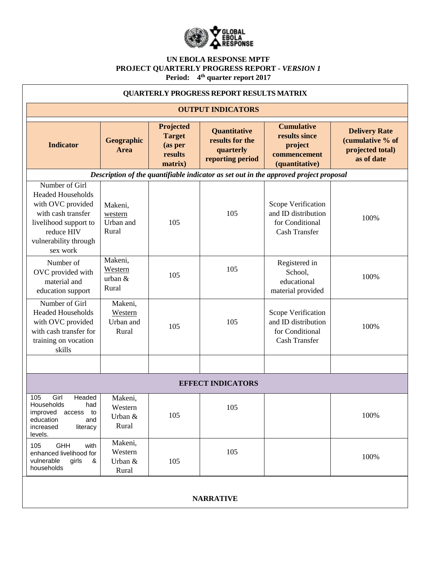

## **UN EBOLA RESPONSE MPTF PROJECT QUARTERLY PROGRESS REPORT** *- VERSION 1* **Period: 4 th quarter report 2017**

| <b>QUARTERLY PROGRESS REPORT RESULTS MATRIX</b>                                                                                                                   |                                          |                                                             |                                                                  |                                                                                      |                                                                            |  |  |  |  |
|-------------------------------------------------------------------------------------------------------------------------------------------------------------------|------------------------------------------|-------------------------------------------------------------|------------------------------------------------------------------|--------------------------------------------------------------------------------------|----------------------------------------------------------------------------|--|--|--|--|
| <b>OUTPUT INDICATORS</b>                                                                                                                                          |                                          |                                                             |                                                                  |                                                                                      |                                                                            |  |  |  |  |
| <b>Indicator</b>                                                                                                                                                  | Geographic<br>Area                       | Projected<br><b>Target</b><br>(as per<br>results<br>matrix) | Quantitative<br>results for the<br>quarterly<br>reporting period | <b>Cumulative</b><br>results since<br>project<br>commencement<br>(quantitative)      | <b>Delivery Rate</b><br>(cumulative % of<br>projected total)<br>as of date |  |  |  |  |
| Description of the quantifiable indicator as set out in the approved project proposal                                                                             |                                          |                                                             |                                                                  |                                                                                      |                                                                            |  |  |  |  |
| Number of Girl<br><b>Headed Households</b><br>with OVC provided<br>with cash transfer<br>livelihood support to<br>reduce HIV<br>vulnerability through<br>sex work | Makeni,<br>western<br>Urban and<br>Rural | 105                                                         | 105                                                              | Scope Verification<br>and ID distribution<br>for Conditional<br><b>Cash Transfer</b> | 100%                                                                       |  |  |  |  |
| Number of<br>OVC provided with<br>material and<br>education support                                                                                               | Makeni,<br>Western<br>urban $&$<br>Rural | 105                                                         | 105                                                              | Registered in<br>School,<br>educational<br>material provided                         | 100%                                                                       |  |  |  |  |
| Number of Girl<br><b>Headed Households</b><br>with OVC provided<br>with cash transfer for<br>training on vocation<br>skills                                       | Makeni,<br>Western<br>Urban and<br>Rural | 105                                                         | 105                                                              | Scope Verification<br>and ID distribution<br>for Conditional<br>Cash Transfer        | 100%                                                                       |  |  |  |  |
|                                                                                                                                                                   |                                          |                                                             |                                                                  |                                                                                      |                                                                            |  |  |  |  |
| <b>EFFECT INDICATORS</b>                                                                                                                                          |                                          |                                                             |                                                                  |                                                                                      |                                                                            |  |  |  |  |
| Girl<br>Headed<br>105<br>Households<br>had<br>improved access to<br>education<br>and<br>increased<br>literacy<br>levels.                                          | Makeni,<br>Western<br>Urban &<br>Rural   | 105                                                         | 105                                                              |                                                                                      | 100%                                                                       |  |  |  |  |
| GHH<br>105<br>with<br>enhanced livelihood for<br>vulnerable<br>girls<br>&<br>households                                                                           | Makeni,<br>Western<br>Urban &<br>Rural   | 105                                                         | 105                                                              |                                                                                      | 100%                                                                       |  |  |  |  |
| <b>NARRATIVE</b>                                                                                                                                                  |                                          |                                                             |                                                                  |                                                                                      |                                                                            |  |  |  |  |